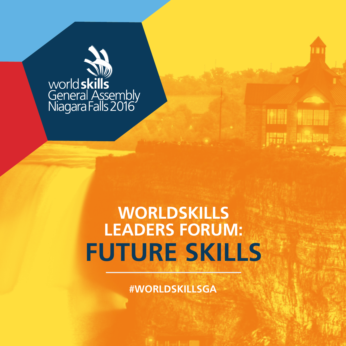

## **WORLDSKILLS LEADERS FORUM: FUTURE SKILLS**

**MARKET BEE** 

**First Salesser** 

**#WORLDSKILLSGA**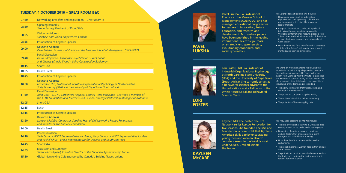## **TUESDAY, 4 OCTOBER 2016 – GREAT ROOM B&C**

| 07:30 | Networking Breakfast and Registration - Great Room A                                                                                                                                                          |
|-------|---------------------------------------------------------------------------------------------------------------------------------------------------------------------------------------------------------------|
| 08:30 | <b>Opening Remarks</b><br>Simon Bartley, President of WorldSkills                                                                                                                                             |
| 08:35 | <b>Welcome Address</b><br>SkillsUSA and Skills/Compétences Canada                                                                                                                                             |
| 08:55 | Introduction of Keynote Speaker                                                                                                                                                                               |
| 09:00 | <b>Keynote Address</b><br>Pavel Luksha, Professor of Practice at the Moscow School of Management SKOLKOVO                                                                                                     |
| 09:40 | <b>Panel Discussion</b><br>David Zdrojewski - Fixturlaser, Boyd Parsons - Air Canada<br>and Charles (Chuck) Wood - Volvo Construction Equipment                                                               |
| 10:15 | Short Q&A                                                                                                                                                                                                     |
| 10:25 | <b>Health Break</b>                                                                                                                                                                                           |
| 10:45 | Introduction of Keynote Speaker                                                                                                                                                                               |
| 10:50 | <b>Keynote Address</b><br>Lori Foster, PhD, Professor of Industrial-Organizational Psychology at North Carolina<br>State University (USA) and the University of Cape Town (South Africa)                      |
| 11:30 | <b>Panel Discussion</b><br>John Gaal - STL-KC Carpenters Regional Council, Trina Vitolianos - Shawcor, a member of<br>the CEPA Foundation and Matthew Bell - Global Strategic Partnership Manager of Autodesk |
| 12:05 | <b>Short Q&amp;A</b>                                                                                                                                                                                          |
| 12:15 | Lunch                                                                                                                                                                                                         |
| 13:15 | Introduction of Keynote Speaker                                                                                                                                                                               |
| 13:20 | <b>Keynote Address</b><br>Kayleen McCabe, Contractor, Speaker, Host of DIY Network's Rescue Renovation,<br>and founder of The McCabe Foundation                                                               |
| 14:00 | <b>Health Break</b>                                                                                                                                                                                           |
| 14:10 | <b>Panel Discussion</b><br>Tayla Schou - WSCT Representative for Africa, Gary Condon - WSCT Representative for Asia<br>and Rachel Chua - WSCT Representative for Oceania and South East Asia                  |
| 14:45 | <b>Short Q&amp;A</b>                                                                                                                                                                                          |
| 14:55 | <b>Discussion and Summary</b><br>Sarah Watts-Rynard, Executive Director of the Canadian Apprenticeship Forum                                                                                                  |
| 15:30 | Global Networking Café sponsored by Canada's Building Trades Unions                                                                                                                                           |

- The ability to measure motivations, skills, and vocational interests online.
- The power of computer adaptive testing.
- The utility of virtual simulations in training.
- The potential of harnessing big data.

Pavel Luksha is a Professor of Practice at the Moscow School of Management SKOLKOVO, and has managed educational programmes for leaders in innovation, future education, and research and development. Mr Luksha's papers have been published in the leading international scientific journals on strategic entrepreneurship, evolutionary economics, and social cybernetics.



Mr. Luksha's speaking points will include :

- How major forces such as automation, digitalization, and "greening" of industries are transforming the global landscape of labour markets.
- Insight in the sessions conducted by Global Education Futures, in collaboration with WorldSkills International, featuring leaders from 35 countries and their vision of skills of the future in manufacturing, services, and urban-related work sectors.
- How the demand for a workforce that possesses "skills of the future" will require new education methods and training institutions.

Lori Foster, PhD is a Professor of Industrial-Organizational Psychology at North Carolina State University (USA) and the University of Cape Town (South Africa). She currently serves as a behavioral sciences advisor to the United Nations and a Fellow with the White House Social and Behavioral Sciences Team.

The world of work is changing rapidly, and the WorldSkills model is uniquely placed to overcome the challenges it presents. Dr. Foster will share insight from working with the White House Social and Behavioral Sciences Team, on how WorldSkills Members and other skills leaders can benefit from virtual and online technologies including:

Kayleen McCabe hosted the DIY Network series Rescue Renovation for five seasons. She founded The McCabe Foundation, a non-profit that tightens America's skills gap by encouraging young men and women alike to consider careers in the World's most undervalued, unfilled sector: the trades.

Ms. McCabe's speaking points will include:

- The role of vocational training in 20th and 21st century American secondary education system.
- Discussion of contemporary economic and cultural factors that are prompting a slight resurgence in skilled labour training.
- How the role of the modern skilled worker is changing.
- The social challenges women face as they pursue trade careers.
- Steps that can be taken to assimilate women into the trades and position the trades as desirable options for more women.



**LUKSHA**

**LORI FOSTER**



**KAYLEEN McCABE**